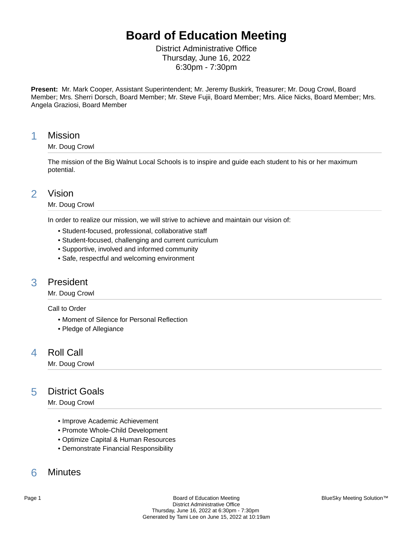# **Board of Education Meeting**

District Administrative Office Thursday, June 16, 2022 6:30pm - 7:30pm

**Present:** Mr. Mark Cooper, Assistant Superintendent; Mr. Jeremy Buskirk, Treasurer; Mr. Doug Crowl, Board Member; Mrs. Sherri Dorsch, Board Member; Mr. Steve Fujii, Board Member; Mrs. Alice Nicks, Board Member; Mrs. Angela Graziosi, Board Member

## 1 Mission

### Mr. Doug Crowl

The mission of the Big Walnut Local Schools is to inspire and guide each student to his or her maximum potential.

## 2 Vision

#### Mr. Doug Crowl

In order to realize our mission, we will strive to achieve and maintain our vision of:

- Student-focused, professional, collaborative staff
- Student-focused, challenging and current curriculum
- Supportive, involved and informed community
- Safe, respectful and welcoming environment

## 3 President

### Mr. Doug Crowl

Call to Order

- Moment of Silence for Personal Reflection
- Pledge of Allegiance

## 4 Roll Call

Mr. Doug Crowl

## 5 District Goals

Mr. Doug Crowl

- Improve Academic Achievement
- Promote Whole-Child Development
- Optimize Capital & Human Resources
- Demonstrate Financial Responsibility

## 6 Minutes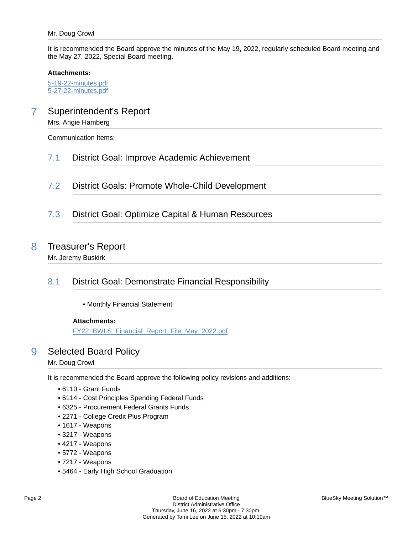It is recommended the Board approve the minutes of the May 19, 2022, regularly scheduled Board meeting and the May 27, 2022, Special Board meeting.

#### **Attachments:**

[5-19-22-minutes.pdf](https://bigwalnut.blueskymeeting.com/meeting_groups/274/item_attachments/67803) [5-27-22-minutes.pdf](https://bigwalnut.blueskymeeting.com/meeting_groups/274/item_attachments/67804)

## 7 Superintendent's Report

Mrs. Angie Hamberg

Communication Items:

- 7.1 District Goal: Improve Academic Achievement
- 7.2 District Goals: Promote Whole-Child Development
- 7.3 District Goal: Optimize Capital & Human Resources

## 8 Treasurer's Report

Mr. Jeremy Buskirk

## 8.1 District Goal: Demonstrate Financial Responsibility

• Monthly Financial Statement

### **Attachments:**

[FY22\\_BWLS\\_Financial\\_Report\\_File\\_May\\_2022.pdf](https://bigwalnut.blueskymeeting.com/meeting_groups/274/item_attachments/67600)

## 9 Selected Board Policy

Mr. Doug Crowl

It is recommended the Board approve the following policy revisions and additions:

- 6110 Grant Funds
- 6114 Cost Principles Spending Federal Funds
- 6325 Procurement Federal Grants Funds
- 2271 College Credit Plus Program
- 1617 Weapons
- 3217 Weapons
- 4217 Weapons
- 5772 Weapons
- 7217 Weapons
- 5464 Early High School Graduation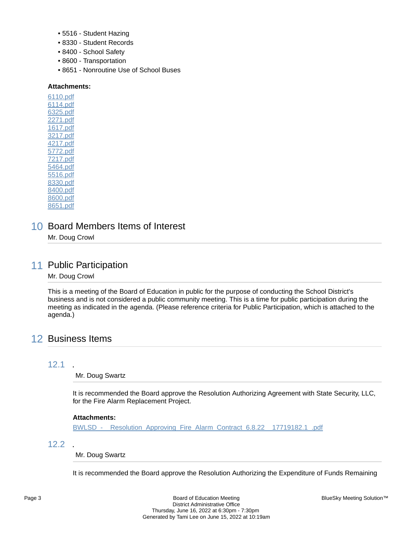- 5516 Student Hazing
- 8330 Student Records
- 8400 School Safety
- 8600 Transportation
- 8651 Nonroutine Use of School Buses

#### **Attachments:**

[6110.pdf](https://bigwalnut.blueskymeeting.com/meeting_groups/274/item_attachments/67585) [6114.pdf](https://bigwalnut.blueskymeeting.com/meeting_groups/274/item_attachments/67586) [6325.pdf](https://bigwalnut.blueskymeeting.com/meeting_groups/274/item_attachments/67587) [2271.pdf](https://bigwalnut.blueskymeeting.com/meeting_groups/274/item_attachments/67588) [1617.pdf](https://bigwalnut.blueskymeeting.com/meeting_groups/274/item_attachments/67589) [3217.pdf](https://bigwalnut.blueskymeeting.com/meeting_groups/274/item_attachments/67590) [4217.pdf](https://bigwalnut.blueskymeeting.com/meeting_groups/274/item_attachments/67591) [5772.pdf](https://bigwalnut.blueskymeeting.com/meeting_groups/274/item_attachments/67592) [7217.pdf](https://bigwalnut.blueskymeeting.com/meeting_groups/274/item_attachments/67593) [5464.pdf](https://bigwalnut.blueskymeeting.com/meeting_groups/274/item_attachments/67594) [5516.pdf](https://bigwalnut.blueskymeeting.com/meeting_groups/274/item_attachments/67595) [8330.pdf](https://bigwalnut.blueskymeeting.com/meeting_groups/274/item_attachments/67596) [8400.pdf](https://bigwalnut.blueskymeeting.com/meeting_groups/274/item_attachments/67597) [8600.pdf](https://bigwalnut.blueskymeeting.com/meeting_groups/274/item_attachments/67598) [8651.pdf](https://bigwalnut.blueskymeeting.com/meeting_groups/274/item_attachments/67599)

10 Board Members Items of Interest Mr. Doug Crowl

## 11 Public Participation

### Mr. Doug Crowl

This is a meeting of the Board of Education in public for the purpose of conducting the School District's business and is not considered a public community meeting. This is a time for public participation during the meeting as indicated in the agenda. (Please reference criteria for Public Participation, which is attached to the agenda.)

## 12 Business Items

### 12.1 .

Mr. Doug Swartz

It is recommended the Board approve the Resolution Authorizing Agreement with State Security, LLC, for the Fire Alarm Replacement Project.

### **Attachments:**

BWLSD - Resolution Approving Fire Alarm Contract 6.8.22 17719182.1 .pdf

### 12.2 .

### Mr. Doug Swartz

It is recommended the Board approve the Resolution Authorizing the Expenditure of Funds Remaining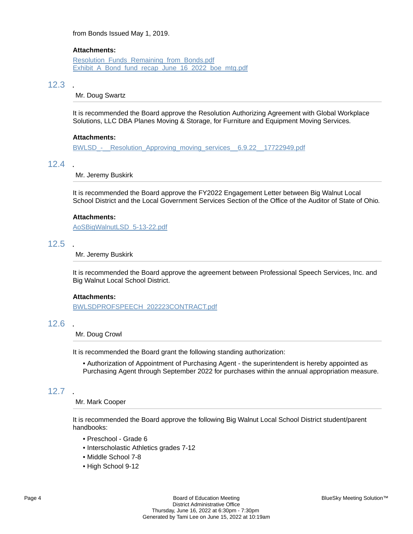from Bonds Issued May 1, 2019.

#### **Attachments:**

[Resolution\\_Funds\\_Remaining\\_from\\_Bonds.pdf](https://bigwalnut.blueskymeeting.com/meeting_groups/274/item_attachments/67761) Exhibit A Bond fund recap June 16 2022 boe mtg.pdf

### 12.3 .

Mr. Doug Swartz

It is recommended the Board approve the Resolution Authorizing Agreement with Global Workplace Solutions, LLC DBA Planes Moving & Storage, for Furniture and Equipment Moving Services.

#### **Attachments:**

BWLSD - Resolution Approving moving services 6.9.22 17722949.pdf

#### 12.4 .

Mr. Jeremy Buskirk

It is recommended the Board approve the FY2022 Engagement Letter between Big Walnut Local School District and the Local Government Services Section of the Office of the Auditor of State of Ohio.

#### **Attachments:**

[AoSBigWalnutLSD\\_5-13-22.pdf](https://bigwalnut.blueskymeeting.com/meeting_groups/274/item_attachments/67582)

#### 12.5 .

Mr. Jeremy Buskirk

It is recommended the Board approve the agreement between Professional Speech Services, Inc. and Big Walnut Local School District.

#### **Attachments:**

[BWLSDPROFSPEECH\\_202223CONTRACT.pdf](https://bigwalnut.blueskymeeting.com/meeting_groups/274/item_attachments/67706)

### 12.6 .

Mr. Doug Crowl

It is recommended the Board grant the following standing authorization:

• Authorization of Appointment of Purchasing Agent - the superintendent is hereby appointed as Purchasing Agent through September 2022 for purchases within the annual appropriation measure.

### 12.7 .

#### Mr. Mark Cooper

It is recommended the Board approve the following Big Walnut Local School District student/parent handbooks:

- Preschool Grade 6
- Interscholastic Athletics grades 7-12
- Middle School 7-8
- High School 9-12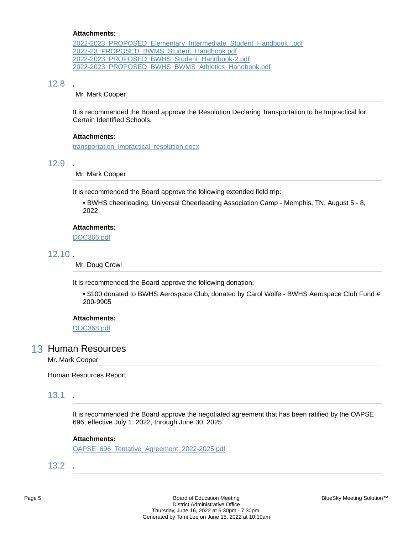#### **Attachments:**

[2022-2023\\_PROPOSED\\_Elementary\\_Intermediate\\_Student\\_Handbook\\_.pdf](https://bigwalnut.blueskymeeting.com/meeting_groups/274/item_attachments/67517) [2022-23\\_PROPOSED\\_BWMS\\_Student\\_Handbook.pdf](https://bigwalnut.blueskymeeting.com/meeting_groups/274/item_attachments/67519) [2022-2023\\_PROPOSED\\_BWHS\\_Student\\_Handbook-2.pdf](https://bigwalnut.blueskymeeting.com/meeting_groups/274/item_attachments/67520) [2022-2023\\_PROPOSED\\_BWHS\\_BWMS\\_Athletics\\_Handbook.pdf](https://bigwalnut.blueskymeeting.com/meeting_groups/274/item_attachments/67521)

### 12.8 .

Mr. Mark Cooper

It is recommended the Board approve the Resolution Declaring Transportation to be Impractical for Certain Identified Schools.

#### **Attachments:**

[transportation\\_impractical\\_resolution.docx](https://bigwalnut.blueskymeeting.com/meeting_groups/274/item_attachments/67560)

### 12.9 .

Mr. Mark Cooper

It is recommended the Board approve the following extended field trip:

• BWHS cheerleading, Universal Cheerleading Association Camp - Memphis, TN, August 5 - 8, 2022

### **Attachments:**

[DOC366.pdf](https://bigwalnut.blueskymeeting.com/meeting_groups/274/item_attachments/67515)

### 12.10 .

Mr. Doug Crowl

It is recommended the Board approve the following donation:

• \$100 donated to BWHS Aerospace Club, donated by Carol Wolfe - BWHS Aerospace Club Fund # 200-9905

#### **Attachments:**

[DOC368.pdf](https://bigwalnut.blueskymeeting.com/meeting_groups/274/item_attachments/67705)

### 13 Human Resources

Mr. Mark Cooper

Human Resources Report:

## 13.1 .

It is recommended the Board approve the negotiated agreement that has been ratified by the OAPSE 696, effective July 1, 2022, through June 30, 2025.

#### **Attachments:**

[OAPSE\\_696\\_Tentative\\_Agreement\\_2022-2025.pdf](https://bigwalnut.blueskymeeting.com/meeting_groups/274/item_attachments/67645)

13.2 .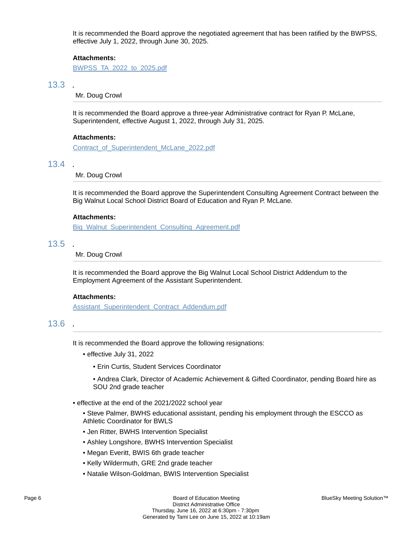It is recommended the Board approve the negotiated agreement that has been ratified by the BWPSS, effective July 1, 2022, through June 30, 2025.

#### **Attachments:**

[BWPSS\\_TA\\_2022\\_to\\_2025.pdf](https://bigwalnut.blueskymeeting.com/meeting_groups/274/item_attachments/67714)

### 13.3 .

Mr. Doug Crowl

It is recommended the Board approve a three-year Administrative contract for Ryan P. McLane, Superintendent, effective August 1, 2022, through July 31, 2025.

#### **Attachments:**

[Contract\\_of\\_Superintendent\\_McLane\\_2022.pdf](https://bigwalnut.blueskymeeting.com/meeting_groups/274/item_attachments/67650)

#### 13.4 .

Mr. Doug Crowl

It is recommended the Board approve the Superintendent Consulting Agreement Contract between the Big Walnut Local School District Board of Education and Ryan P. McLane.

#### **Attachments:**

[Big\\_Walnut\\_Superintendent\\_Consulting\\_Agreement.pdf](https://bigwalnut.blueskymeeting.com/meeting_groups/274/item_attachments/67651)

#### 13.5 .

#### Mr. Doug Crowl

It is recommended the Board approve the Big Walnut Local School District Addendum to the Employment Agreement of the Assistant Superintendent.

#### **Attachments:**

[Assistant\\_Superintendent\\_Contract\\_Addendum.pdf](https://bigwalnut.blueskymeeting.com/meeting_groups/274/item_attachments/67649)

## 13.6 .

It is recommended the Board approve the following resignations:

- effective July 31, 2022
	- Erin Curtis, Student Services Coordinator

• Andrea Clark, Director of Academic Achievement & Gifted Coordinator, pending Board hire as SOU 2nd grade teacher

- effective at the end of the 2021/2022 school year
	- Steve Palmer, BWHS educational assistant, pending his employment through the ESCCO as Athletic Coordinator for BWLS
	- Jen Ritter, BWHS Intervention Specialist
	- Ashley Longshore, BWHS Intervention Specialist
	- Megan Everitt, BWIS 6th grade teacher
	- Kelly Wildermuth, GRE 2nd grade teacher
	- Natalie Wilson-Goldman, BWIS Intervention Specialist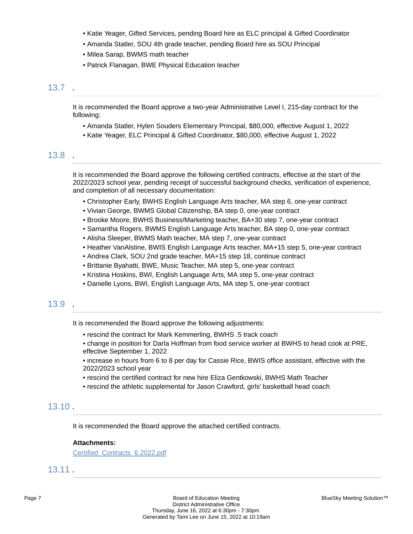- Katie Yeager, Gifted Services, pending Board hire as ELC principal & Gifted Coordinator
- Amanda Statler, SOU 4th grade teacher, pending Board hire as SOU Principal
- Milea Sarap, BWMS math teacher
- Patrick Flanagan, BWE Physical Education teacher

### 13.7 .

It is recommended the Board approve a two-year Administrative Level I, 215-day contract for the following:

- Amanda Statler, Hylen Souders Elementary Principal, \$80,000, effective August 1, 2022
- Katie Yeager, ELC Principal & Gifted Coordinator, \$80,000, effective August 1, 2022

### 13.8 .

It is recommended the Board approve the following certified contracts, effective at the start of the 2022/2023 school year, pending receipt of successful background checks, verification of experience, and completion of all necessary documentation:

- Christopher Early, BWHS English Language Arts teacher, MA step 6, one-year contract
- Vivian George, BWMS Global Citizenship, BA step 0, one-year contract
- Brooke Moore, BWHS Business/Marketing teacher, BA+30 step 7, one-year contract
- Samantha Rogers, BWMS English Language Arts teacher, BA step 0, one-year contract
- Alisha Sleeper, BWMS Math teacher, MA step 7, one-year contract
- Heather VanAlstine, BWIS English Language Arts teacher, MA+15 step 5, one-year contract
- Andrea Clark, SOU 2nd grade teacher, MA+15 step 18, continue contract
- Brittanie Byahatti, BWE, Music Teacher, MA step 5, one-year contract
- Kristina Hoskins, BWI, English Language Arts, MA step 5, one-year contract
- Danielle Lyons, BWI, English Language Arts, MA step 5, one-year contract

### 13.9 .

It is recommended the Board approve the following adjustments:

- rescind the contract for Mark Kemmerling, BWHS .5 track coach
- change in position for Darla Hoffman from food service worker at BWHS to head cook at PRE, effective September 1, 2022

• increase in hours from 6 to 8 per day for Cassie Rice, BWIS office assistant, effective with the 2022/2023 school year

- rescind the certified contract for new hire Eliza Gentkowski, BWHS Math Teacher
- rescind the athletic supplemental for Jason Crawford, girls' basketball head coach

### 13.10 .

It is recommended the Board approve the attached certified contracts.

#### **Attachments:**

[Certified\\_Contracts\\_6.2022.pdf](https://bigwalnut.blueskymeeting.com/meeting_groups/274/item_attachments/67779)

## 13.11 .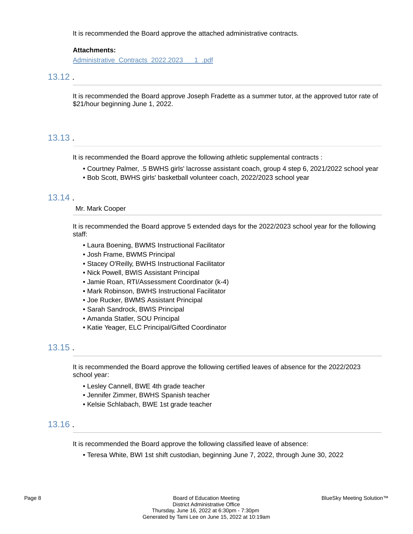It is recommended the Board approve the attached administrative contracts.

#### **Attachments:**

[Administrative\\_Contracts\\_2022.2023\\_\\_\\_1\\_.pdf](https://bigwalnut.blueskymeeting.com/meeting_groups/274/item_attachments/67756)

### 13.12 .

It is recommended the Board approve Joseph Fradette as a summer tutor, at the approved tutor rate of \$21/hour beginning June 1, 2022.

### 13.13 .

It is recommended the Board approve the following athletic supplemental contracts :

- Courtney Palmer, .5 BWHS girls' lacrosse assistant coach, group 4 step 6, 2021/2022 school year
- Bob Scott, BWHS girls' basketball volunteer coach, 2022/2023 school year

### 13.14 .

#### Mr. Mark Cooper

It is recommended the Board approve 5 extended days for the 2022/2023 school year for the following staff:

- Laura Boening, BWMS Instructional Facilitator
- Josh Frame, BWMS Principal
- Stacey O'Reilly, BWHS Instructional Facilitator
- Nick Powell, BWIS Assistant Principal
- Jamie Roan, RTI/Assessment Coordinator (k-4)
- Mark Robinson, BWHS Instructional Facilitator
- Joe Rucker, BWMS Assistant Principal
- Sarah Sandrock, BWIS Principal
- Amanda Statler, SOU Principal
- Katie Yeager, ELC Principal/Gifted Coordinator

### 13.15 .

It is recommended the Board approve the following certified leaves of absence for the 2022/2023 school year:

- Lesley Cannell, BWE 4th grade teacher
- Jennifer Zimmer, BWHS Spanish teacher
- Kelsie Schlabach, BWE 1st grade teacher

## 13.16 .

It is recommended the Board approve the following classified leave of absence:

• Teresa White, BWI 1st shift custodian, beginning June 7, 2022, through June 30, 2022